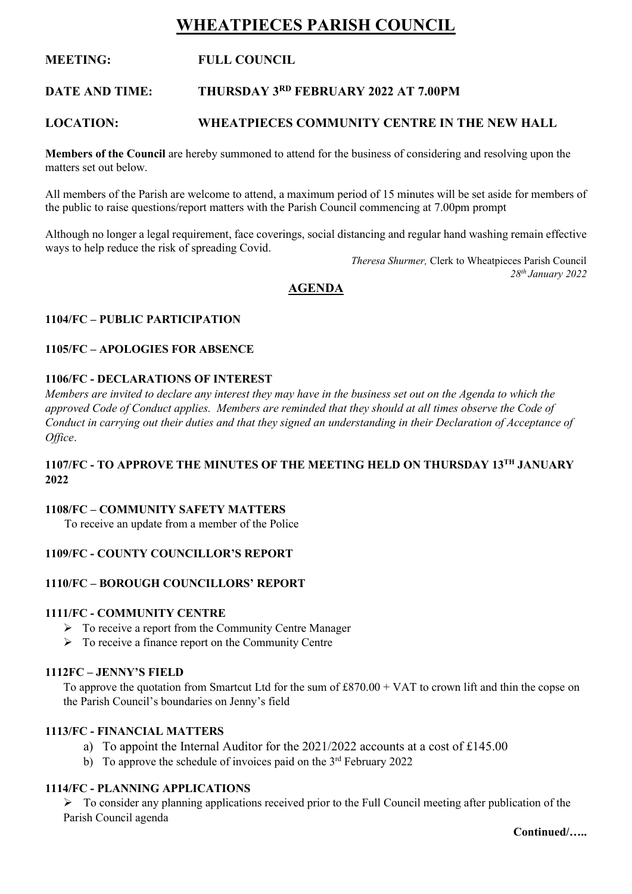# **WHEATPIECES PARISH COUNCIL**

# **MEETING: FULL COUNCIL**

#### **DATE AND TIME: RD FEBRUARY 2022 AT 7.00PM**

# **LOCATION: WHEATPIECES COMMUNITY CENTRE IN THE NEW HALL**

**Members of the Council** are hereby summoned to attend for the business of considering and resolving upon the matters set out below.

All members of the Parish are welcome to attend, a maximum period of 15 minutes will be set aside for members of the public to raise questions/report matters with the Parish Council commencing at 7.00pm prompt

Although no longer a legal requirement, face coverings, social distancing and regular hand washing remain effective ways to help reduce the risk of spreading Covid.

> *Theresa Shurmer,* Clerk to Wheatpieces Parish Council *28th January 2022*

# **AGENDA**

### **1104/FC – PUBLIC PARTICIPATION**

### **1105/FC – APOLOGIES FOR ABSENCE**

### **1106/FC - DECLARATIONS OF INTEREST**

*Members are invited to declare any interest they may have in the business set out on the Agenda to which the approved Code of Conduct applies. Members are reminded that they should at all times observe the Code of Conduct in carrying out their duties and that they signed an understanding in their Declaration of Acceptance of Office*.

# **1107/FC - TO APPROVE THE MINUTES OF THE MEETING HELD ON THURSDAY 13TH JANUARY 2022**

#### **1108/FC – COMMUNITY SAFETY MATTERS**

To receive an update from a member of the Police

#### **1109/FC - COUNTY COUNCILLOR'S REPORT**

# **1110/FC – BOROUGH COUNCILLORS' REPORT**

#### **1111/FC - COMMUNITY CENTRE**

- ➢ To receive a report from the Community Centre Manager
- ➢ To receive a finance report on the Community Centre

#### **1112FC – JENNY'S FIELD**

To approve the quotation from Smartcut Ltd for the sum of  $\pounds 870.00 + \text{VAT}$  to crown lift and thin the copse on the Parish Council's boundaries on Jenny's field

#### **1113/FC - FINANCIAL MATTERS**

- a) To appoint the Internal Auditor for the 2021/2022 accounts at a cost of £145.00
- b) To approve the schedule of invoices paid on the  $3<sup>rd</sup>$  February 2022

# **1114/FC - PLANNING APPLICATIONS**

➢ To consider any planning applications received prior to the Full Council meeting after publication of the Parish Council agenda

**Continued/…..**